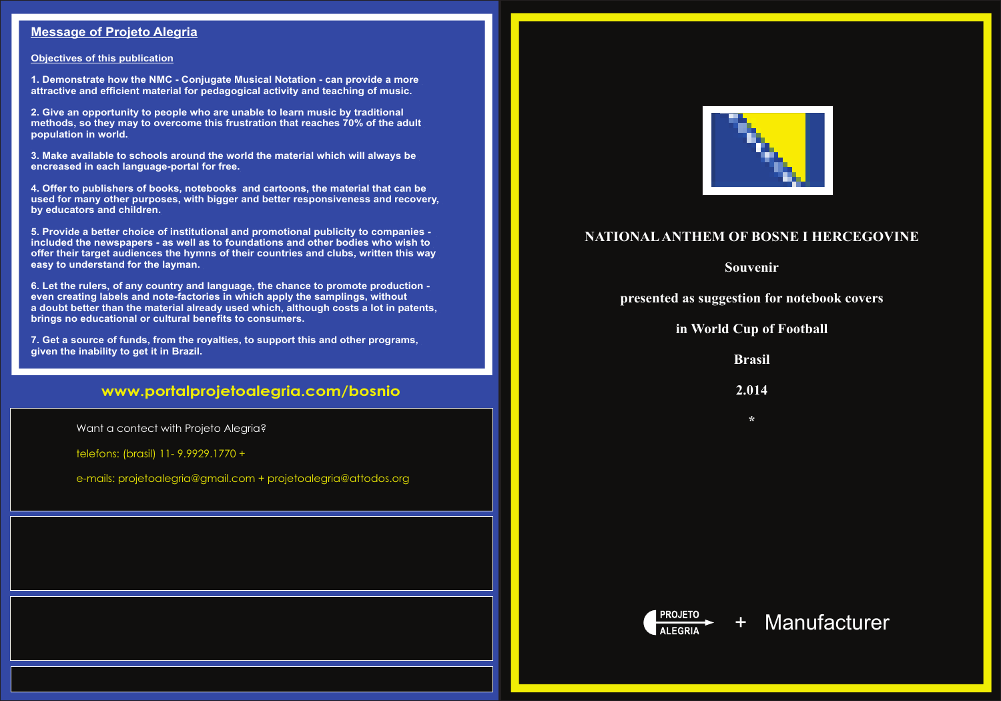#### **www.portalprojetoalegria.com/bosnio**

## **NATIONALANTHEM OF BOSNE I HERCEGOVINE**

**Souvenir**

**presented as suggestion for notebook covers**

**in World Cup of Football**

**Brasil**

**2.014**

**\***



#### **Message of Projeto Alegria**

#### **Objectives of this publication**

**1. Demonstrate how the NMC - Conjugate Musical Notation - can provide a more attractive and efficient material for pedagogical activity and teaching of music.**

**2. Give an opportunity to people who are unable to learn music by traditional methods, so they may to overcome this frustration that reaches 70% of the adult population in world.**

**3. Make available to schools around the world the material which will always be encreased in each language-portal for free.**

**4. Offer to publishers of books, notebooks and cartoons, the material that can be used for many other purposes, with bigger and better responsiveness and recovery, by educators and children.**

**5. Provide a better choice of institutional and promotional publicity to companies included the newspapers - as well as to foundations and other bodies who wish to offer their target audiences the hymns of their countries and clubs, written this way easy to understand for the layman.** 

**6. Let the rulers, of any country and language, the chance to promote production even creating labels and note-factories in which apply the samplings, without a doubt better than the material already used which, although costs a lot in patents, brings no educational or cultural benefits to consumers.**

**7. Get a source of funds, from the royalties, to support this and other programs, given the inability to get it in Brazil.**

Want a contect with Projeto Alegria?

telefons: (brasil) 11- 9.9929.1770 +

e-mails: projetoalegria@gmail.com + projetoalegria@attodos.org



# + Manufacturer